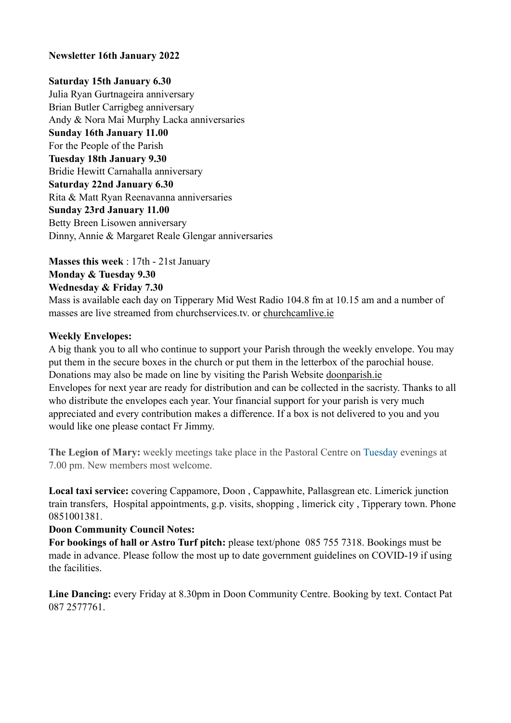### **Newsletter 16th January 2022**

#### **Saturday 15th January 6.30**

Julia Ryan Gurtnageira anniversary Brian Butler Carrigbeg anniversary Andy & Nora Mai Murphy Lacka anniversaries **Sunday 16th January 11.00**  For the People of the Parish **Tuesday 18th January 9.30**  Bridie Hewitt Carnahalla anniversary **Saturday 22nd January 6.30**  Rita & Matt Ryan Reenavanna anniversaries **Sunday 23rd January 11.00**  Betty Breen Lisowen anniversary Dinny, Annie & Margaret Reale Glengar anniversaries

**Masses this week** : 17th - 21st January **Monday & Tuesday 9.30** 

#### **Wednesday & Friday 7.30**

Mass is available each day on Tipperary Mid West Radio 104.8 fm at 10.15 am and a number of masses are live streamed from churchservices.tv. or [churchcamlive.ie](http://churchcamlive.ie)

#### **Weekly Envelopes:**

A big thank you to all who continue to support your Parish through the weekly envelope. You may put them in the secure boxes in the church or put them in the letterbox of the parochial house. Donations may also be made on line by visiting the Parish Website [doonparish.ie](http://doonparish.ie) Envelopes for next year are ready for distribution and can be collected in the sacristy. Thanks to all who distribute the envelopes each year. Your financial support for your parish is very much appreciated and every contribution makes a difference. If a box is not delivered to you and you would like one please contact Fr Jimmy.

**The Legion of Mary:** weekly meetings take place in the Pastoral Centre on Tuesday evenings at 7.00 pm. New members most welcome.

**Local taxi service:** covering Cappamore, Doon , Cappawhite, Pallasgrean etc. Limerick junction train transfers, Hospital appointments, g.p. visits, shopping , limerick city , Tipperary town. Phone 0851001381.

### **Doon Community Council Notes:**

**For bookings of hall or Astro Turf pitch:** please text/phone 085 755 7318. Bookings must be made in advance. Please follow the most up to date government guidelines on COVID-19 if using the facilities.

**Line Dancing:** every Friday at 8.30pm in Doon Community Centre. Booking by text. Contact Pat 087 2577761.